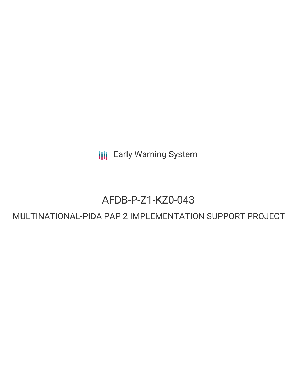**III** Early Warning System

# AFDB-P-Z1-KZ0-043

## MULTINATIONAL-PIDA PAP 2 IMPLEMENTATION SUPPORT PROJECT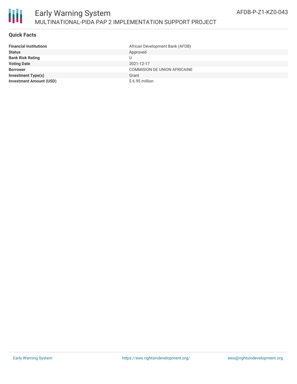

### **Quick Facts**

| <b>Financial Institutions</b>  | African Development Bank (AFDB) |
|--------------------------------|---------------------------------|
| <b>Status</b>                  | Approved                        |
| <b>Bank Risk Rating</b>        |                                 |
| <b>Voting Date</b>             | 2021-12-17                      |
| <b>Borrower</b>                | COMMISION DE UNION AFRICAINE    |
| <b>Investment Type(s)</b>      | Grant                           |
| <b>Investment Amount (USD)</b> | $$6.95$ million                 |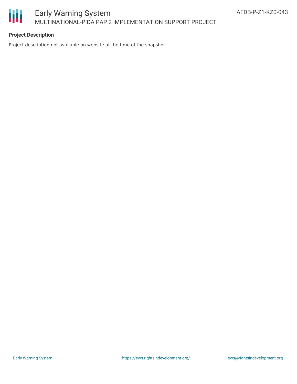

### **Project Description**

Project description not available on website at the time of the snapshot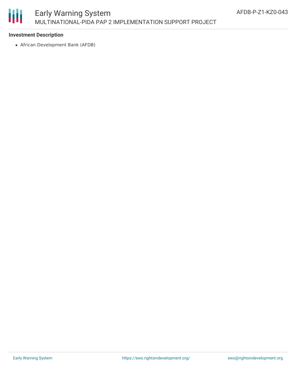

### Early Warning System MULTINATIONAL-PIDA PAP 2 IMPLEMENTATION SUPPORT PROJECT

### **Investment Description**

African Development Bank (AFDB)